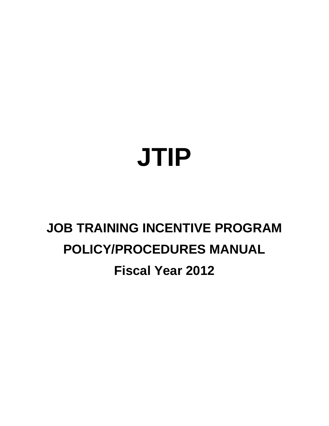# **JTIP**

# **JOB TRAINING INCENTIVE PROGRAM POLICY/PROCEDURES MANUAL Fiscal Year 2012**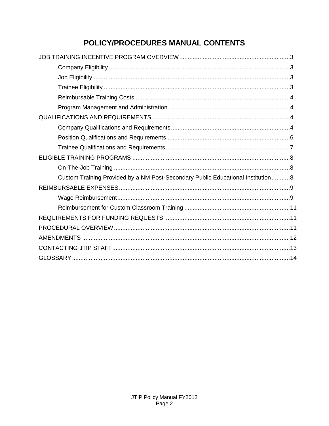# POLICY/PROCEDURES MANUAL CONTENTS

| Custom Training Provided by a NM Post-Secondary Public Educational Institution8 |
|---------------------------------------------------------------------------------|
|                                                                                 |
|                                                                                 |
|                                                                                 |
|                                                                                 |
|                                                                                 |
|                                                                                 |
|                                                                                 |
|                                                                                 |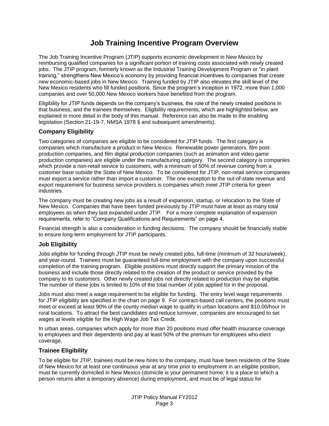# **Job Training Incentive Program Overview**

The Job Training Incentive Program (JTIP) supports economic development in New Mexico by reimbursing qualified companies for a significant portion of training costs associated with newly created jobs. The JTIP program, formerly known as the Industrial Training Development Program or "in plant training," strengthens New Mexico's economy by providing financial incentives to companies that create new economic-based jobs in New Mexico. Training funded by JTIP also elevates the skill level of the New Mexico residents who fill funded positions. Since the program's inception in 1972, more than 1,000 companies and over 50,000 New Mexico workers have benefited from the program.

Eligibility for JTIP funds depends on the company's business, the role of the newly created positions in that business, and the trainees themselves. Eligibility requirements, which are highlighted below, are explained in more detail in the body of this manual. Reference can also be made to the enabling legislation (Section 21-19-7, NMSA 1978 § and subsequent amendments).

#### **Company Eligibility**

Two categories of companies are eligible to be considered for JTIP funds. The first category is companies which manufacture a product in New Mexico. Renewable power generators, film postproduction companies, and film digital production companies (such as animation and video game production companies) are eligible under the manufacturing category. The second category is companies which provide a non-retail service to customers, with a minimum of 50% of revenue coming from a customer base outside the State of New Mexico. To be considered for JTIP, non-retail service companies must export a service rather than import a customer. The one exception to the out-of-state revenue and export requirement for business service providers is companies which meet JTIP criteria for green industries.

The company must be creating new jobs as a result of expansion, startup, or relocation to the State of New Mexico. Companies that have been funded previously by JTIP must have at least as many total employees as when they last expanded under JTIP. For a more complete explanation of expansion requirements, refer to "Company Qualifications and Requirements" on page 4.

Financial strength is also a consideration in funding decisions. The company should be financially stable to ensure long-term employment for JTIP participants.

#### **Job Eligibility**

Jobs eligible for funding through JTIP must be newly created jobs, full-time (minimum of 32 hours/week), and year-round. Trainees must be guaranteed full-time employment with the company upon successful completion of the training program. Eligible positions must directly support the primary mission of the business and include those directly related to the creation of the product or service provided by the company to its customers. Other newly created jobs not directly related to production may be eligible. The number of these jobs is limited to 10% of the total number of jobs applied for in the proposal.

Jobs must also meet a wage requirement to be eligible for funding. The entry level wage requirements for JTIP eligibility are specified in the chart on page 9. For contract-based call centers, the positions must meet or exceed at least 90% of the county median wage to qualify in urban locations and \$10.00/hour in rural locations. To attract the best candidates and reduce turnover, companies are encouraged to set wages at levels eligible for the High Wage Job Tax Credit.

In urban areas, companies which apply for more than 20 positions must offer health insurance coverage to employees and their dependents and pay at least 50% of the premium for employees who elect coverage.

#### **Trainee Eligibility**

To be eligible for JTIP, trainees must be new hires to the company, must have been residents of the State of New Mexico for at least one continuous year at any time prior to employment in an eligible position, must be currently domiciled in New Mexico (domicile is your permanent home; it is a place to which a person returns after a temporary absence) during employment, and must be of legal status for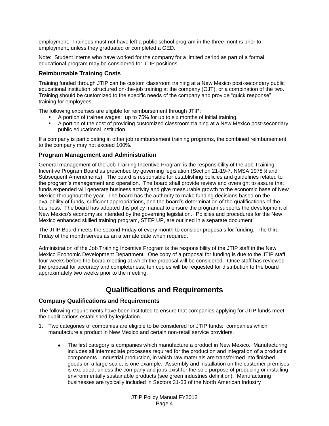employment. Trainees must not have left a public school program in the three months prior to employment, unless they graduated or completed a GED.

Note: Student interns who have worked for the company for a limited period as part of a formal educational program may be considered for JTIP positions.

#### **Reimbursable Training Costs**

Training funded through JTIP can be custom classroom training at a New Mexico post-secondary public educational institution, structured on-the-job training at the company (OJT), or a combination of the two. Training should be customized to the specific needs of the company and provide "quick response" training for employees.

The following expenses are eligible for reimbursement through JTIP:

- A portion of trainee wages: up to 75% for up to six months of initial training.
- A portion of the cost of providing customized classroom training at a New Mexico post-secondary public educational institution.

If a company is participating in other job reimbursement training programs, the combined reimbursement to the company may not exceed 100%.

#### **Program Management and Administration**

General management of the Job Training Incentive Program is the responsibility of the Job Training Incentive Program Board as prescribed by governing legislation (Section 21-19-7, NMSA 1978 § and Subsequent Amendments). The board is responsible for establishing policies and guidelines related to the program's management and operation. The board shall provide review and oversight to assure that funds expended will generate business activity and give measurable growth to the economic base of New Mexico throughout the year. The board has the authority to make funding decisions based on the availability of funds, sufficient appropriations, and the board's determination of the qualifications of the business. The board has adopted this policy manual to ensure the program supports the development of New Mexico's economy as intended by the governing legislation. Policies and procedures for the New Mexico enhanced skilled training program, STEP UP, are outlined in a separate document.

The JTIP Board meets the second Friday of every month to consider proposals for funding. The third Friday of the month serves as an alternate date when required.

Administration of the Job Training Incentive Program is the responsibility of the JTIP staff in the New Mexico Economic Development Department. One copy of a proposal for funding is due to the JTIP staff four weeks before the board meeting at which the proposal will be considered. Once staff has reviewed the proposal for accuracy and completeness, ten copies will be requested for distribution to the board approximately two weeks prior to the meeting.

## **Qualifications and Requirements**

#### **Company Qualifications and Requirements**

The following requirements have been instituted to ensure that companies applying for JTIP funds meet the qualifications established by legislation.

- 1. Two categories of companies are eligible to be considered for JTIP funds: companies which manufacture a product in New Mexico and certain non-retail service providers.
	- The first category is companies which manufacture a product in New Mexico. Manufacturing  $\bullet$ includes all intermediate processes required for the production and integration of a product's components. Industrial production, in which raw materials are transformed into finished goods on a large scale, is one example. Assembly and installation on the customer premises is excluded, unless the company and jobs exist for the sole purpose of producing or installing environmentally sustainable products (see green industries definition). Manufacturing businesses are typically included in Sectors 31-33 of the North American Industry

JTIP Policy Manual FY2012 Page 4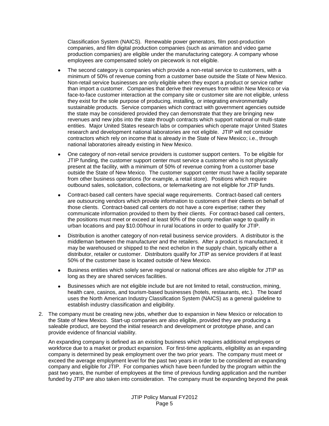Classification System (NAICS). Renewable power generators, film post-production companies, and film digital production companies (such as animation and video game production companies) are eligible under the manufacturing category. A company whose employees are compensated solely on piecework is not eligible.

- The second category is companies which provide a non-retail service to customers, with a  $\bullet$ minimum of 50% of revenue coming from a customer base outside the State of New Mexico. Non-retail service businesses are only eligible when they export a product or service rather than import a customer. Companies that derive their revenues from within New Mexico or via face-to-face customer interaction at the company site or customer site are not eligible, unless they exist for the sole purpose of producing, installing, or integrating environmentally sustainable products. Service companies which contract with government agencies outside the state may be considered provided they can demonstrate that they are bringing new revenues and new jobs into the state through contracts which support national or multi-state entities. Major United States research labs or companies which operate major United States research and development national laboratories are not eligible. JTIP will not consider contractors which rely on income that is already in the State of New Mexico; i.e., through national laboratories already existing in New Mexico.
- One category of non-retail service providers is customer support centers. To be eligible for JTIP funding, the customer support center must service a customer who is not physically present at the facility, with a minimum of 50% of revenue coming from a customer base outside the State of New Mexico. The customer support center must have a facility separate from other business operations (for example, a retail store). Positions which require outbound sales, solicitation, collections, or telemarketing are not eligible for JTIP funds.
- Contract-based call centers have special wage requirements. Contract-based call centers  $\bullet$ are outsourcing vendors which provide information to customers of their clients on behalf of those clients. Contract-based call centers do not have a core expertise; rather they communicate information provided to them by their clients. For contract-based call centers, the positions must meet or exceed at least 90% of the county median wage to qualify in urban locations and pay \$10.00/hour in rural locations in order to qualify for JTIP.
- Distribution is another category of non-retail business service providers. A distributor is the  $\bullet$ middleman between the manufacturer and the retailers. After a product is manufactured, it may be warehoused or shipped to the next echelon in the supply chain, typically either a distributor, retailer or customer. Distributors qualify for JTIP as service providers if at least 50% of the customer base is located outside of New Mexico.
- Business entities which solely serve regional or national offices are also eligible for JTIP as long as they are shared services facilities.
- Businesses which are not eligible include but are not limited to retail, construction, mining,  $\bullet$ health care, casinos, and tourism-based businesses (hotels, restaurants, etc.). The board uses the North American Industry Classification System (NAICS) as a general guideline to establish industry classification and eligibility.
- 2. The company must be creating new jobs, whether due to expansion in New Mexico or relocation to the State of New Mexico. Start-up companies are also eligible, provided they are producing a saleable product, are beyond the initial research and development or prototype phase, and can provide evidence of financial viability.

An expanding company is defined as an existing business which requires additional employees or workforce due to a market or product expansion. For first-time applicants, eligibility as an expanding company is determined by peak employment over the two prior years. The company must meet or exceed the average employment level for the past two years in order to be considered an expanding company and eligible for JTIP. For companies which have been funded by the program within the past two years, the number of employees at the time of previous funding application and the number funded by JTIP are also taken into consideration. The company must be expanding beyond the peak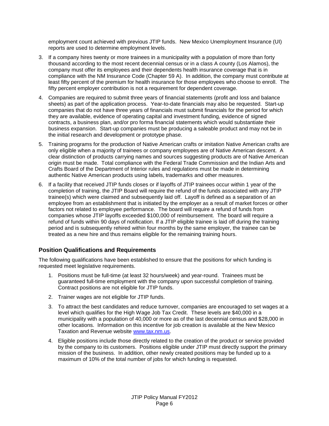employment count achieved with previous JTIP funds. New Mexico Unemployment Insurance (UI) reports are used to determine employment levels.

- 3. If a company hires twenty or more trainees in a municipality with a population of more than forty thousand according to the most recent decennial census or in a class A county (Los Alamos), the company must offer its employees and their dependents health insurance coverage that is in compliance with the NM Insurance Code (Chapter 59 A). In addition, the company must contribute at least fifty percent of the premium for health insurance for those employees who choose to enroll. The fifty percent employer contribution is not a requirement for dependent coverage.
- 4. Companies are required to submit three years of financial statements (profit and loss and balance sheets) as part of the application process. Year-to-date financials may also be requested. Start-up companies that do not have three years of financials must submit financials for the period for which they are available, evidence of operating capital and investment funding, evidence of signed contracts, a business plan, and/or pro forma financial statements which would substantiate their business expansion. Start-up companies must be producing a saleable product and may not be in the initial research and development or prototype phase.
- 5. Training programs for the production of Native American crafts or imitation Native American crafts are only eligible when a majority of trainees or company employees are of Native American descent. A clear distinction of products carrying names and sources suggesting products are of Native American origin must be made. Total compliance with the Federal Trade Commission and the Indian Arts and Crafts Board of the Department of Interior rules and regulations must be made in determining authentic Native American products using labels, trademarks and other measures.
- 6. If a facility that received JTIP funds closes or if layoffs of JTIP trainees occur within 1 year of the completion of training, the JTIP Board will require the refund of the funds associated with any JTIP trainee(s) which were claimed and subsequently laid off. Layoff is defined as a separation of an employee from an establishment that is initiated by the employer as a result of market forces or other factors not related to employee performance. The board will require a refund of funds from companies whose JTIP layoffs exceeded \$100,000 of reimbursement. The board will require a refund of funds within 90 days of notification. If a JTIP eligible trainee is laid off during the training period and is subsequently rehired within four months by the same employer, the trainee can be treated as a new hire and thus remains eligible for the remaining training hours.

#### **Position Qualifications and Requirements**

The following qualifications have been established to ensure that the positions for which funding is requested meet legislative requirements.

- 1. Positions must be full-time (at least 32 hours/week) and year-round. Trainees must be guaranteed full-time employment with the company upon successful completion of training. Contract positions are not eligible for JTIP funds.
- 2. Trainer wages are not eligible for JTIP funds.
- 3. To attract the best candidates and reduce turnover, companies are encouraged to set wages at a level which qualifies for the High Wage Job Tax Credit. These levels are \$40,000 in a municipality with a population of 40,000 or more as of the last decennial census and \$28,000 in other locations. Information on this incentive for job creation is available at the New Mexico Taxation and Revenue website [www.tax.nm.us.](http://www.tax.nm.us/)
- 4. Eligible positions include those directly related to the creation of the product or service provided by the company to its customers. Positions eligible under JTIP must directly support the primary mission of the business. In addition, other newly created positions may be funded up to a maximum of 10% of the total number of jobs for which funding is requested.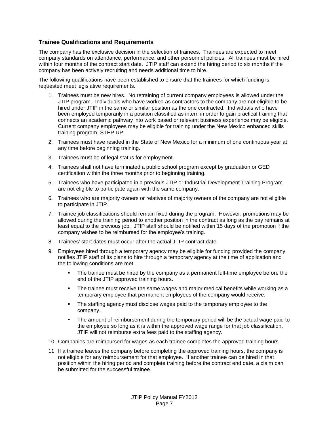#### **Trainee Qualifications and Requirements**

The company has the exclusive decision in the selection of trainees. Trainees are expected to meet company standards on attendance, performance, and other personnel policies. All trainees must be hired within four months of the contract start date. JTIP staff can extend the hiring period to six months if the company has been actively recruiting and needs additional time to hire.

The following qualifications have been established to ensure that the trainees for which funding is requested meet legislative requirements.

- 1. Trainees must be new hires. No retraining of current company employees is allowed under the JTIP program. Individuals who have worked as contractors to the company are not eligible to be hired under JTIP in the same or similar position as the one contracted. Individuals who have been employed temporarily in a position classified as intern in order to gain practical training that connects an academic pathway into work based or relevant business experience may be eligible. Current company employees may be eligible for training under the New Mexico enhanced skills training program, STEP UP.
- 2. Trainees must have resided in the State of New Mexico for a minimum of one continuous year at any time before beginning training.
- 3. Trainees must be of legal status for employment.
- 4. Trainees shall not have terminated a public school program except by graduation or GED certification within the three months prior to beginning training.
- 5. Trainees who have participated in a previous JTIP or Industrial Development Training Program are not eligible to participate again with the same company.
- 6. Trainees who are majority owners or relatives of majority owners of the company are not eligible to participate in JTIP.
- 7. Trainee job classifications should remain fixed during the program. However, promotions may be allowed during the training period to another position in the contract as long as the pay remains at least equal to the previous job. JTIP staff should be notified within 15 days of the promotion if the company wishes to be reimbursed for the employee's training.
- 8. Trainees' start dates must occur after the actual JTIP contract date.
- 9. Employees hired through a temporary agency may be eligible for funding provided the company notifies JTIP staff of its plans to hire through a temporary agency at the time of application and the following conditions are met.
	- The trainee must be hired by the company as a permanent full-time employee before the end of the JTIP approved training hours.
	- The trainee must receive the same wages and major medical benefits while working as a temporary employee that permanent employees of the company would receive.
	- The staffing agency must disclose wages paid to the temporary employee to the company.
	- The amount of reimbursement during the temporary period will be the actual wage paid to the employee so long as it is within the approved wage range for that job classification. JTIP will not reimburse extra fees paid to the staffing agency.
- 10. Companies are reimbursed for wages as each trainee completes the approved training hours.
- 11. If a trainee leaves the company before completing the approved training hours, the company is not eligible for any reimbursement for that employee. If another trainee can be hired in that position within the hiring period and complete training before the contract end date, a claim can be submitted for the successful trainee.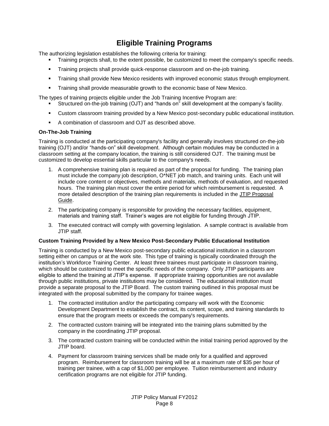# **Eligible Training Programs**

The authorizing legislation establishes the following criteria for training:

- Training projects shall, to the extent possible, be customized to meet the company's specific needs.
- Training projects shall provide quick-response classroom and on-the-job training.
- **Training shall provide New Mexico residents with improved economic status through employment.**
- Training shall provide measurable growth to the economic base of New Mexico.

The types of training projects eligible under the Job Training Incentive Program are:

- Structured on-the-job training (OJT) and "hands on" skill development at the company's facility.
- Custom classroom training provided by a New Mexico post-secondary public educational institution.
- A combination of classroom and OJT as described above.

#### **On-The-Job Training**

Training is conducted at the participating company's facility and generally involves structured on-the-job training (OJT) and/or "hands-on" skill development. Although certain modules may be conducted in a classroom setting at the company location, the training is still considered OJT. The training must be customized to develop essential skills particular to the company's needs.

- 1. A comprehensive training plan is required as part of the proposal for funding. The training plan must include the company job description, O\*NET job match, and training units. Each unit will include core content or objectives, methods and materials, methods of evaluation, and requested hours. The training plan must cover the entire period for which reimbursement is requested. A more detailed description of the training plan requirements is included in the JTIP Proposal Guide.
- 2. The participating company is responsible for providing the necessary facilities, equipment, materials and training staff. Trainer's wages are not eligible for funding through JTIP.
- 3. The executed contract will comply with governing legislation. A sample contract is available from JTIP staff.

#### **Custom Training Provided by a New Mexico Post-Secondary Public Educational Institution**

Training is conducted by a New Mexico post-secondary public educational institution in a classroom setting either on campus or at the work site. This type of training is typically coordinated through the institution's Workforce Training Center. At least three trainees must participate in classroom training, which should be customized to meet the specific needs of the company. Only JTIP participants are eligible to attend the training at JTIP's expense. If appropriate training opportunities are not available through public institutions, private institutions may be considered. The educational institution must provide a separate proposal to the JTIP Board. The custom training outlined in this proposal must be integrated with the proposal submitted by the company for trainee wages.

- 1. The contracted institution and/or the participating company will work with the Economic Development Department to establish the contract, its content, scope, and training standards to ensure that the program meets or exceeds the company's requirements.
- 2. The contracted custom training will be integrated into the training plans submitted by the company in the coordinating JTIP proposal.
- 3. The contracted custom training will be conducted within the initial training period approved by the JTIP board.
- 4. Payment for classroom training services shall be made only for a qualified and approved program. Reimbursement for classroom training will be at a maximum rate of \$35 per hour of training per trainee, with a cap of \$1,000 per employee. Tuition reimbursement and industry certification programs are not eligible for JTIP funding.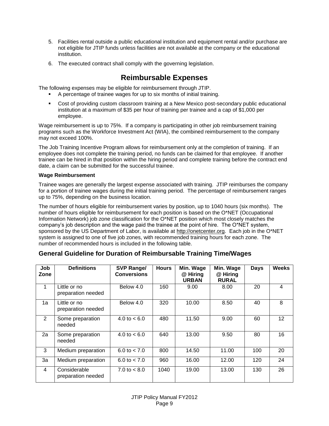- 5. Facilities rental outside a public educational institution and equipment rental and/or purchase are not eligible for JTIP funds unless facilities are not available at the company or the educational institution.
- 6. The executed contract shall comply with the governing legislation.

# **Reimbursable Expenses**

The following expenses may be eligible for reimbursement through JTIP.

- A percentage of trainee wages for up to six months of initial training.
- Cost of providing custom classroom training at a New Mexico post-secondary public educational institution at a maximum of \$35 per hour of training per trainee and a cap of \$1,000 per employee.

Wage reimbursement is up to 75%. If a company is participating in other job reimbursement training programs such as the Workforce Investment Act (WIA), the combined reimbursement to the company may not exceed 100%.

The Job Training Incentive Program allows for reimbursement only at the completion of training. If an employee does not complete the training period, no funds can be claimed for that employee. If another trainee can be hired in that position within the hiring period and complete training before the contract end date, a claim can be submitted for the successful trainee.

#### **Wage Reimbursement**

Trainee wages are generally the largest expense associated with training. JTIP reimburses the company for a portion of trainee wages during the initial training period. The percentage of reimbursement ranges up to 75%, depending on the business location.

The number of hours eligible for reimbursement varies by position, up to 1040 hours (six months). The number of hours eligible for reimbursement for each position is based on the O\*NET (Occupational Information Network) job zone classification for the O\*NET position which most closely matches the company's job description and the wage paid the trainee at the point of hire. The O\*NET system, sponsored by the US Department of Labor, is available at [http://onetcenter.org.](http://onetcenter.org/) Each job in the O\*NET system is assigned to one of five job zones, with recommended training hours for each zone. The number of recommended hours is included in the following table.

| Job<br>Zone    | <b>Definitions</b>                 | SVP Range/<br><b>Conversions</b> | <b>Hours</b> | Min. Wage<br>@ Hiring<br><b>URBAN</b> | Min. Wage<br>@ Hiring<br><b>RURAL</b> | <b>Days</b> | <b>Weeks</b>    |
|----------------|------------------------------------|----------------------------------|--------------|---------------------------------------|---------------------------------------|-------------|-----------------|
| 1              | Little or no<br>preparation needed | Below 4.0                        | 160          | 9.00                                  | 8.00                                  | 20          | 4               |
| 1a             | Little or no<br>preparation needed | Below 4.0                        | 320          | 10.00                                 | 8.50                                  | 40          | 8               |
| $\overline{2}$ | Some preparation<br>needed         | 4.0 to $< 6.0$                   | 480          | 11.50                                 | 9.00                                  | 60          | 12 <sub>2</sub> |
| 2a             | Some preparation<br>needed         | 4.0 to $< 6.0$                   | 640          | 13.00                                 | 9.50                                  | 80          | 16              |
| 3              | Medium preparation                 | 6.0 to $< 7.0$                   | 800          | 14.50                                 | 11.00                                 | 100         | 20              |
| 3a             | Medium preparation                 | 6.0 to $< 7.0$                   | 960          | 16.00                                 | 12.00                                 | 120         | 24              |
| 4              | Considerable<br>preparation needed | $7.0 \text{ to } 8.0$            | 1040         | 19.00                                 | 13.00                                 | 130         | 26              |

### **General Guideline for Duration of Reimbursable Training Time/Wages**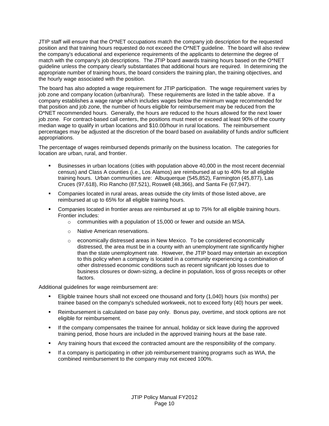JTIP staff will ensure that the O\*NET occupations match the company job description for the requested position and that training hours requested do not exceed the O\*NET guideline. The board will also review the company's educational and experience requirements of the applicants to determine the degree of match with the company's job descriptions. The JTIP board awards training hours based on the O\*NET guideline unless the company clearly substantiates that additional hours are required. In determining the appropriate number of training hours, the board considers the training plan, the training objectives, and the hourly wage associated with the position.

The board has also adopted a wage requirement for JTIP participation. The wage requirement varies by job zone and company location (urban/rural). These requirements are listed in the table above. If a company establishes a wage range which includes wages below the minimum wage recommended for that position and job zone, the number of hours eligible for reimbursement may be reduced from the O\*NET recommended hours. Generally, the hours are reduced to the hours allowed for the next lower job zone. For contract-based call centers, the positions must meet or exceed at least 90% of the county median wage to qualify in urban locations and \$10.00/hour in rural locations. The reimbursement percentages may be adjusted at the discretion of the board based on availability of funds and/or sufficient appropriations.

The percentage of wages reimbursed depends primarily on the business location. The categories for location are urban, rural, and frontier.

- Businesses in urban locations (cities with population above 40,000 in the most recent decennial census) and Class A counties (i.e., Los Alamos) are reimbursed at up to 40% for all eligible training hours. Urban communities are: Albuquerque (545,852), Farmington (45,877), Las Cruces (97,618), Rio Rancho (87,521), Roswell (48,366), and Santa Fe (67,947).
- Companies located in rural areas, areas outside the city limits of those listed above, are reimbursed at up to 65% for all eligible training hours.
- Companies located in frontier areas are reimbursed at up to 75% for all eligible training hours. Frontier includes:
	- o communities with a population of 15,000 or fewer and outside an MSA.
	- o Native American reservations.
	- $\circ$  economically distressed areas in New Mexico. To be considered economically distressed, the area must be in a county with an unemployment rate significantly higher than the state unemployment rate. However, the JTIP board may entertain an exception to this policy when a company is located in a community experiencing a combination of other distressed economic conditions such as recent significant job losses due to business closures or down-sizing, a decline in population, loss of gross receipts or other factors.

Additional guidelines for wage reimbursement are:

- Eligible trainee hours shall not exceed one thousand and forty (1,040) hours (six months) per trainee based on the company's scheduled workweek, not to exceed forty (40) hours per week.
- Reimbursement is calculated on base pay only. Bonus pay, overtime, and stock options are not eligible for reimbursement.
- If the company compensates the trainee for annual, holiday or sick leave during the approved training period, those hours are included in the approved training hours at the base rate.
- Any training hours that exceed the contracted amount are the responsibility of the company.
- If a company is participating in other job reimbursement training programs such as WIA, the combined reimbursement to the company may not exceed 100%.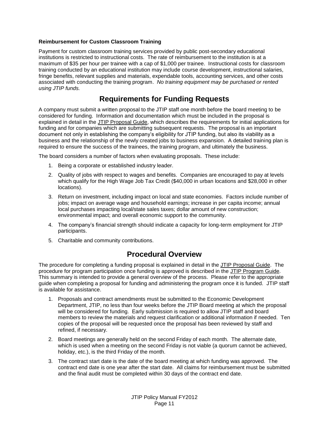#### **Reimbursement for Custom Classroom Training**

Payment for custom classroom training services provided by public post-secondary educational institutions is restricted to instructional costs. The rate of reimbursement to the institution is at a maximum of \$35 per hour per trainee with a cap of \$1,000 per trainee. Instructional costs for classroom training conducted by an educational institution may include course development, instructional salaries, fringe benefits, relevant supplies and materials, expendable tools, accounting services, and other costs associated with conducting the training program. *No training equipment may be purchased or rented using JTIP funds.*

# **Requirements for Funding Requests**

A company must submit a written proposal to the JTIP staff one month before the board meeting to be considered for funding. Information and documentation which must be included in the proposal is explained in detail in the JTIP Proposal Guide, which describes the requirements for initial applications for funding and for companies which are submitting subsequent requests. The proposal is an important document not only in establishing the company's eligibility for JTIP funding, but also its viability as a business and the relationship of the newly created jobs to business expansion. A detailed training plan is required to ensure the success of the trainees, the training program, and ultimately the business.

The board considers a number of factors when evaluating proposals. These include:

- 1. Being a corporate or established industry leader.
- 2. Quality of jobs with respect to wages and benefits. Companies are encouraged to pay at levels which qualify for the High Wage Job Tax Credit (\$40,000 in urban locations and \$28,000 in other locations).
- 3. Return on investment, including impact on local and state economies. Factors include number of jobs; impact on average wage and household earnings; increase in per capita income; annual local purchases impacting local/state sales taxes; dollar amount of new construction; environmental impact; and overall economic support to the community.
- 4. The company's financial strength should indicate a capacity for long-term employment for JTIP participants.
- 5. Charitable and community contributions.

# **Procedural Overview**

The procedure for completing a funding proposal is explained in detail in the JTIP Proposal Guide. The procedure for program participation once funding is approved is described in the JTIP Program Guide. This summary is intended to provide a general overview of the process. Please refer to the appropriate guide when completing a proposal for funding and administering the program once it is funded. JTIP staff is available for assistance.

- 1. Proposals and contract amendments must be submitted to the Economic Development Department, JTIP, no less than four weeks before the JTIP Board meeting at which the proposal will be considered for funding. Early submission is required to allow JTIP staff and board members to review the materials and request clarification or additional information if needed. Ten copies of the proposal will be requested once the proposal has been reviewed by staff and refined, if necessary.
- 2. Board meetings are generally held on the second Friday of each month. The alternate date, which is used when a meeting on the second Friday is not viable (a quorum cannot be achieved, holiday, etc.), is the third Friday of the month.
- 3. The contract start date is the date of the board meeting at which funding was approved. The contract end date is one year after the start date. All claims for reimbursement must be submitted and the final audit must be completed within 30 days of the contract end date.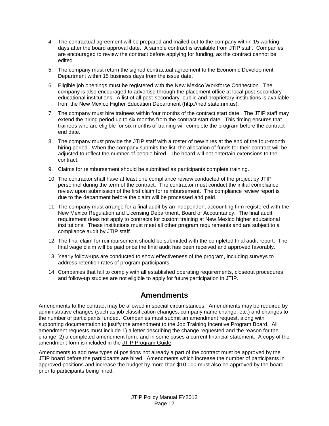- 4. The contractual agreement will be prepared and mailed out to the company within 15 working days after the board approval date. A sample contract is available from JTIP staff. Companies are encouraged to review the contract before applying for funding, as the contract cannot be edited.
- 5. The company must return the signed contractual agreement to the Economic Development Department within 15 business days from the issue date.
- 6. Eligible job openings must be registered with the New Mexico Workforce Connection. The company is also encouraged to advertise through the placement office at local post-secondary educational institutions. A list of all post-secondary, public and proprietary institutions is available from the New Mexico Higher Education Department (http://hed.state.nm.us).
- 7. The company must hire trainees within four months of the contract start date. The JTIP staff may extend the hiring period up to six months from the contract start date. This timing ensures that trainees who are eligible for six months of training will complete the program before the contract end date.
- 8. The company must provide the JTIP staff with a roster of new hires at the end of the four-month hiring period. When the company submits the list, the allocation of funds for their contract will be adjusted to reflect the number of people hired. The board will not entertain extensions to the contract.
- 9. Claims for reimbursement should be submitted as participants complete training.
- 10. The contractor shall have at least one compliance review conducted of the project by JTIP personnel during the term of the contract. The contractor must conduct the initial compliance review upon submission of the first claim for reimbursement. The compliance review report is due to the department before the claim will be processed and paid.
- 11. The company must arrange for a final audit by an independent accounting firm registered with the New Mexico Regulation and Licensing Department, Board of Accountancy. The final audit requirement does not apply to contracts for custom training at New Mexico higher educational institutions. These institutions must meet all other program requirements and are subject to a compliance audit by JTIP staff.
- 12. The final claim for reimbursement should be submitted with the completed final audit report. The final wage claim will be paid once the final audit has been received and approved favorably.
- 13. Yearly follow-ups are conducted to show effectiveness of the program, including surveys to address retention rates of program participants.
- 14. Companies that fail to comply with all established operating requirements, closeout procedures and follow-up studies are not eligible to apply for future participation in JTIP.

# **Amendments**

Amendments to the contract may be allowed in special circumstances. Amendments may be required by administrative changes (such as job classification changes, company name change, etc.) and changes to the number of participants funded. Companies must submit an amendment request, along with supporting documentation to justify the amendment to the Job Training Incentive Program Board. All amendment requests must include 1) a letter describing the change requested and the reason for the change, 2) a completed amendment form, and in some cases a current financial statement. A copy of the amendment form is included in the JTIP Program Guide.

Amendments to add new types of positions not already a part of the contract must be approved by the JTIP board before the participants are hired. Amendments which increase the number of participants in approved positions and increase the budget by more than \$10,000 must also be approved by the board prior to participants being hired.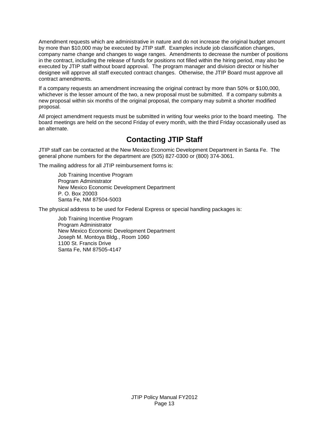Amendment requests which are administrative in nature and do not increase the original budget amount by more than \$10,000 may be executed by JTIP staff. Examples include job classification changes, company name change and changes to wage ranges. Amendments to decrease the number of positions in the contract, including the release of funds for positions not filled within the hiring period, may also be executed by JTIP staff without board approval. The program manager and division director or his/her designee will approve all staff executed contract changes. Otherwise, the JTIP Board must approve all contract amendments.

If a company requests an amendment increasing the original contract by more than 50% or \$100,000, whichever is the lesser amount of the two, a new proposal must be submitted. If a company submits a new proposal within six months of the original proposal, the company may submit a shorter modified proposal.

All project amendment requests must be submitted in writing four weeks prior to the board meeting. The board meetings are held on the second Friday of every month, with the third Friday occasionally used as an alternate.

# **Contacting JTIP Staff**

JTIP staff can be contacted at the New Mexico Economic Development Department in Santa Fe. The general phone numbers for the department are (505) 827-0300 or (800) 374-3061.

The mailing address for all JTIP reimbursement forms is:

Job Training Incentive Program Program Administrator New Mexico Economic Development Department P. O. Box 20003 Santa Fe, NM 87504-5003

The physical address to be used for Federal Express or special handling packages is:

Job Training Incentive Program Program Administrator New Mexico Economic Development Department Joseph M. Montoya Bldg., Room 1060 1100 St. Francis Drive Santa Fe, NM 87505-4147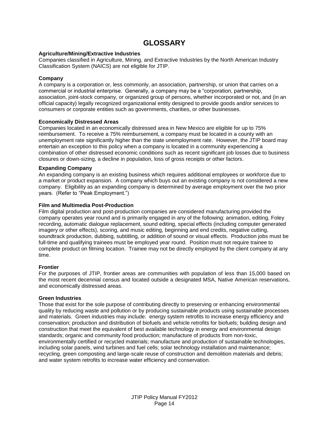# **GLOSSARY**

#### **Agriculture/Mining/Extractive Industries**

Companies classified in Agriculture, Mining, and Extractive Industries by the North American Industry Classification System (NAICS) are not eligible for JTIP.

#### **Company**

A company is a corporation or, less commonly, an association, partnership, or union that carries on a commercial or industrial enterprise. Generally, a company may be a "corporation, partnership, association, joint-stock company, or organized group of persons, whether incorporated or not, and (in an official capacity) legally recognized organizational entity designed to provide goods and/or services to consumers or corporate entities such as governments, charities, or other businesses.

#### **Economically Distressed Areas**

Companies located in an economically distressed area in New Mexico are eligible for up to 75% reimbursement. To receive a 75% reimbursement, a company must be located in a county with an unemployment rate significantly higher than the state unemployment rate. However, the JTIP board may entertain an exception to this policy when a company is located in a community experiencing a combination of other distressed economic conditions such as recent significant job losses due to business closures or down-sizing, a decline in population, loss of gross receipts or other factors.

#### **Expanding Company**

An expanding company is an existing business which requires additional employees or workforce due to a market or product expansion. A company which buys out an existing company is not considered a new company. Eligibility as an expanding company is determined by average employment over the two prior years. (Refer to "Peak Employment.")

#### **Film and Multimedia Post-Production**

Film digital production and post-production companies are considered manufacturing provided the company operates year round and is primarily engaged in any of the following: animation, editing, Foley recording, automatic dialogue replacement, sound editing, special effects (including computer generated imagery or other effects), scoring, and music editing, beginning and end credits, negative cutting, soundtrack production, dubbing, subtitling, or addition of sound or visual effects. Production jobs must be full-time and qualifying trainees must be employed year round. Position must not require trainee to complete product on filming location. Trainee may not be directly employed by the client company at any time.

#### **Frontier**

For the purposes of JTIP, frontier areas are communities with population of less than 15,000 based on the most recent decennial census and located outside a designated MSA, Native American reservations, and economically distressed areas.

#### **Green Industries**

Those that exist for the sole purpose of contributing directly to preserving or enhancing environmental quality by reducing waste and pollution or by producing sustainable products using sustainable processes and materials. Green industries may include: energy system retrofits to increase energy efficiency and conservation; production and distribution of biofuels and vehicle retrofits for biofuels; building design and construction that meet the equivalent of best available technology in energy and environmental design standards; organic and community food production; manufacture of products from non-toxic, environmentally certified or recycled materials; manufacture and production of sustainable technologies, including solar panels, wind turbines and fuel cells; solar technology installation and maintenance; recycling, green composting and large-scale reuse of construction and demolition materials and debris; and water system retrofits to increase water efficiency and conservation.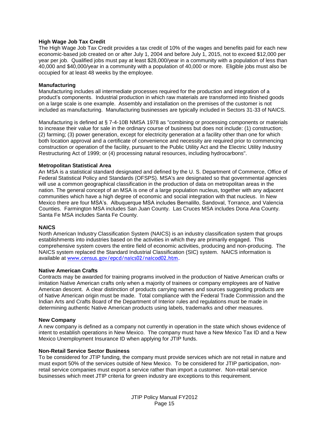#### **High Wage Job Tax Credit**

The High Wage Job Tax Credit provides a tax credit of 10% of the wages and benefits paid for each new economic-based job created on or after July 1, 2004 and before July 1, 2015, not to exceed \$12,000 per year per job. Qualified jobs must pay at least \$28,000/year in a community with a population of less than 40,000 and \$40,000/year in a community with a population of 40,000 or more. Eligible jobs must also be occupied for at least 48 weeks by the employee.

#### **Manufacturing**

Manufacturing includes all intermediate processes required for the production and integration of a product's components. Industrial production in which raw materials are transformed into finished goods on a large scale is one example. Assembly and installation on the premises of the customer is not included as manufacturing. Manufacturing businesses are typically included in Sectors 31-33 of NAICS.

Manufacturing is defined at § 7-4-10B NMSA 1978 as "combining or processing components or materials to increase their value for sale in the ordinary course of business but does not include: (1) construction; (2) farming; (3) power generation, except for electricity generation at a facility other than one for which both location approval and a certificate of convenience and necessity are required prior to commencing construction or operation of the facility, pursuant to the Public Utility Act and the Electric Utility Industry Restructuring Act of 1999; or (4) processing natural resources, including hydrocarbons".

#### **Metropolitan Statistical Area**

An MSA is a statistical standard designated and defined by the U. S. Department of Commerce, Office of Federal Statistical Policy and Standards (OFSPS). MSA's are designated so that governmental agencies will use a common geographical classification in the production of data on metropolitan areas in the nation. The general concept of an MSA is one of a large population nucleus, together with any adjacent communities which have a high degree of economic and social integration with that nucleus. In New Mexico there are four MSA's. Albuquerque MSA includes Bernalillo, Sandoval, Torrance, and Valencia Counties. Farmington MSA includes San Juan County. Las Cruces MSA includes Dona Ana County. Santa Fe MSA includes Santa Fe County.

#### **NAICS**

North American Industry Classification System (NAICS) is an industry classification system that groups establishments into industries based on the activities in which they are primarily engaged. This comprehensive system covers the entire field of economic activities, producing and non-producing. The NAICS system replaced the Standard Industrial Classification (SIC) system. NAICS information is available at [www.census.gov/epcd/naics02/naicod02.htm.](http://www.census.gov/epcd/naics02/naicod02.htm)

#### **Native American Crafts**

Contracts may be awarded for training programs involved in the production of Native American crafts or imitation Native American crafts only when a majority of trainees or company employees are of Native American descent. A clear distinction of products carrying names and sources suggesting products are of Native American origin must be made. Total compliance with the Federal Trade Commission and the Indian Arts and Crafts Board of the Department of Interior rules and regulations must be made in determining authentic Native American products using labels, trademarks and other measures.

#### **New Company**

A new company is defined as a company not currently in operation in the state which shows evidence of intent to establish operations in New Mexico. The company must have a New Mexico Tax ID and a New Mexico Unemployment Insurance ID when applying for JTIP funds.

#### **Non-Retail Service Sector Business**

To be considered for JTIP funding, the company must provide services which are not retail in nature and must export 50% of the services outside of New Mexico. To be considered for JTIP participation, nonretail service companies must export a service rather than import a customer. Non-retail service businesses which meet JTIP criteria for green industry are exceptions to this requirement.